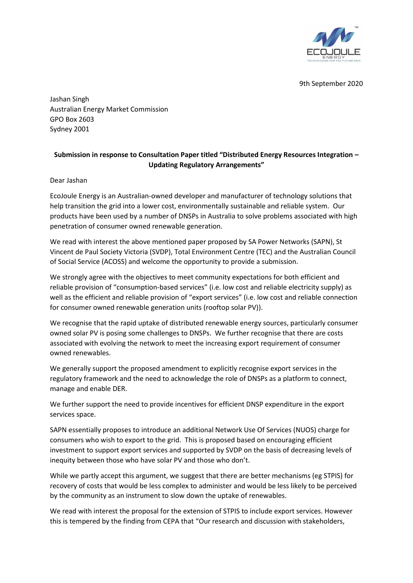

9th September 2020

Jashan Singh Australian Energy Market Commission GPO Box 2603 Sydney 2001

# **Submission in response to Consultation Paper titled "Distributed Energy Resources Integration – Updating Regulatory Arrangements"**

Dear Jashan

EcoJoule Energy is an Australian-owned developer and manufacturer of technology solutions that help transition the grid into a lower cost, environmentally sustainable and reliable system. Our products have been used by a number of DNSPs in Australia to solve problems associated with high penetration of consumer owned renewable generation.

We read with interest the above mentioned paper proposed by SA Power Networks (SAPN), St Vincent de Paul Society Victoria (SVDP), Total Environment Centre (TEC) and the Australian Council of Social Service (ACOSS) and welcome the opportunity to provide a submission.

We strongly agree with the objectives to meet community expectations for both efficient and reliable provision of "consumption-based services" (i.e. low cost and reliable electricity supply) as well as the efficient and reliable provision of "export services" (i.e. low cost and reliable connection for consumer owned renewable generation units (rooftop solar PV)).

We recognise that the rapid uptake of distributed renewable energy sources, particularly consumer owned solar PV is posing some challenges to DNSPs. We further recognise that there are costs associated with evolving the network to meet the increasing export requirement of consumer owned renewables.

We generally support the proposed amendment to explicitly recognise export services in the regulatory framework and the need to acknowledge the role of DNSPs as a platform to connect, manage and enable DER.

We further support the need to provide incentives for efficient DNSP expenditure in the export services space.

SAPN essentially proposes to introduce an additional Network Use Of Services (NUOS) charge for consumers who wish to export to the grid. This is proposed based on encouraging efficient investment to support export services and supported by SVDP on the basis of decreasing levels of inequity between those who have solar PV and those who don't.

While we partly accept this argument, we suggest that there are better mechanisms (eg STPIS) for recovery of costs that would be less complex to administer and would be less likely to be perceived by the community as an instrument to slow down the uptake of renewables.

We read with interest the proposal for the extension of STPIS to include export services. However this is tempered by the finding from CEPA that "Our research and discussion with stakeholders,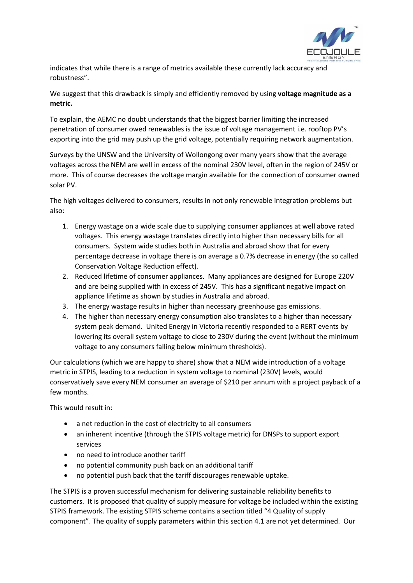

indicates that while there is a range of metrics available these currently lack accuracy and robustness".

We suggest that this drawback is simply and efficiently removed by using **voltage magnitude as a metric.**

To explain, the AEMC no doubt understands that the biggest barrier limiting the increased penetration of consumer owed renewables is the issue of voltage management i.e. rooftop PV's exporting into the grid may push up the grid voltage, potentially requiring network augmentation.

Surveys by the UNSW and the University of Wollongong over many years show that the average voltages across the NEM are well in excess of the nominal 230V level, often in the region of 245V or more. This of course decreases the voltage margin available for the connection of consumer owned solar PV.

The high voltages delivered to consumers, results in not only renewable integration problems but also:

- 1. Energy wastage on a wide scale due to supplying consumer appliances at well above rated voltages. This energy wastage translates directly into higher than necessary bills for all consumers. System wide studies both in Australia and abroad show that for every percentage decrease in voltage there is on average a 0.7% decrease in energy (the so called Conservation Voltage Reduction effect).
- 2. Reduced lifetime of consumer appliances. Many appliances are designed for Europe 220V and are being supplied with in excess of 245V. This has a significant negative impact on appliance lifetime as shown by studies in Australia and abroad.
- 3. The energy wastage results in higher than necessary greenhouse gas emissions.
- 4. The higher than necessary energy consumption also translates to a higher than necessary system peak demand. United Energy in Victoria recently responded to a RERT events by lowering its overall system voltage to close to 230V during the event (without the minimum voltage to any consumers falling below minimum thresholds).

Our calculations (which we are happy to share) show that a NEM wide introduction of a voltage metric in STPIS, leading to a reduction in system voltage to nominal (230V) levels, would conservatively save every NEM consumer an average of \$210 per annum with a project payback of a few months.

This would result in:

- a net reduction in the cost of electricity to all consumers
- an inherent incentive (through the STPIS voltage metric) for DNSPs to support export services
- no need to introduce another tariff
- no potential community push back on an additional tariff
- no potential push back that the tariff discourages renewable uptake.

The STPIS is a proven successful mechanism for delivering sustainable reliability benefits to customers. It is proposed that quality of supply measure for voltage be included within the existing STPIS framework. The existing STPIS scheme contains a section titled "4 Quality of supply component". The quality of supply parameters within this section 4.1 are not yet determined. Our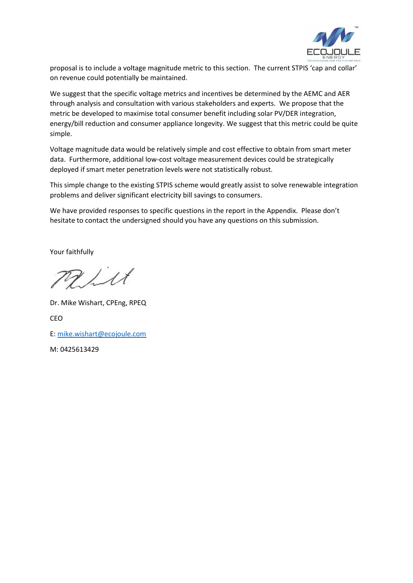

proposal is to include a voltage magnitude metric to this section. The current STPIS 'cap and collar' on revenue could potentially be maintained.

We suggest that the specific voltage metrics and incentives be determined by the AEMC and AER through analysis and consultation with various stakeholders and experts. We propose that the metric be developed to maximise total consumer benefit including solar PV/DER integration, energy/bill reduction and consumer appliance longevity. We suggest that this metric could be quite simple.

Voltage magnitude data would be relatively simple and cost effective to obtain from smart meter data. Furthermore, additional low-cost voltage measurement devices could be strategically deployed if smart meter penetration levels were not statistically robust.

This simple change to the existing STPIS scheme would greatly assist to solve renewable integration problems and deliver significant electricity bill savings to consumers.

We have provided responses to specific questions in the report in the Appendix. Please don't hesitate to contact the undersigned should you have any questions on this submission.

Your faithfully

give

Dr. Mike Wishart, CPEng, RPEQ CEO E: [mike.wishart@ecojoule.com](mailto:mike.wishart@ecojoule.com) 

M: 0425613429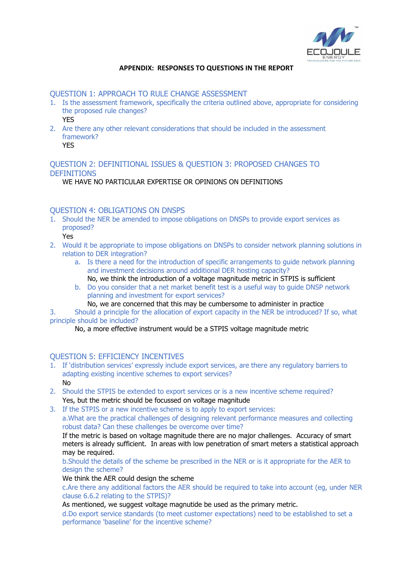

### **APPENDIX: RESPONSES TO QUESTIONS IN THE REPORT**

#### QUESTION 1: APPROACH TO RULE CHANGE ASSESSMENT

- 1. Is the assessment framework, specifically the criteria outlined above, appropriate for considering the proposed rule changes? YES
- 2. Are there any other relevant considerations that should be included in the assessment framework?

### YES

## QUESTION 2: DEFINITIONAL ISSUES & QUESTION 3: PROPOSED CHANGES TO **DEFINITIONS**

WE HAVE NO PARTICULAR EXPERTISE OR OPINIONS ON DEFINITIONS

### QUESTION 4: OBLIGATIONS ON DNSPS

- 1. Should the NER be amended to impose obligations on DNSPs to provide export services as proposed?
	- Yes
- 2. Would it be appropriate to impose obligations on DNSPs to consider network planning solutions in relation to DER integration?
	- a. Is there a need for the introduction of specific arrangements to guide network planning and investment decisions around additional DER hosting capacity?
	- No, we think the introduction of a voltage magnitude metric in STPIS is sufficient
	- b. Do you consider that a net market benefit test is a useful way to guide DNSP network planning and investment for export services?
		- No, we are concerned that this may be cumbersome to administer in practice

3. Should a principle for the allocation of export capacity in the NER be introduced? If so, what principle should be included?

No, a more effective instrument would be a STPIS voltage magnitude metric

### QUESTION 5: EFFICIENCY INCENTIVES

- 1. If 'distribution services' expressly include export services, are there any regulatory barriers to adapting existing incentive schemes to export services? No
- 2. Should the STPIS be extended to export services or is a new incentive scheme required? Yes, but the metric should be focussed on voltage magnitude
- 3. If the STPIS or a new incentive scheme is to apply to export services: a.What are the practical challenges of designing relevant performance measures and collecting robust data? Can these challenges be overcome over time?

If the metric is based on voltage magnitude there are no major challenges. Accuracy of smart meters is already sufficient. In areas with low penetration of smart meters a statistical approach may be required.

b.Should the details of the scheme be prescribed in the NER or is it appropriate for the AER to design the scheme?

We think the AER could design the scheme

c.Are there any additional factors the AER should be required to take into account (eg, under NER clause 6.6.2 relating to the STPIS)?

As mentioned, we suggest voltage magnutide be used as the primary metric.

d.Do export service standards (to meet customer expectations) need to be established to set a performance 'baseline' for the incentive scheme?